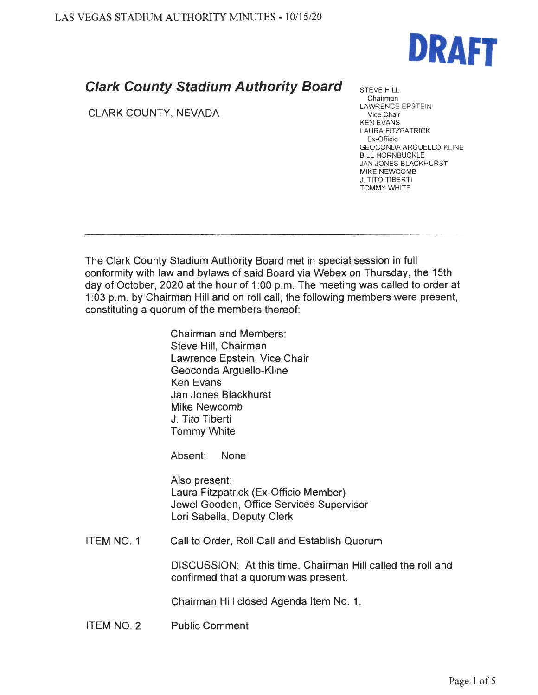

## **Clark County Stadium Authority Board**

CLARK COUNTY, NEVADA

STEVE HILL Chairman LAWRENCE EPSTEIN Vice Chair KEN EVANS LAURA FITZPATRICK Ex-Officio GEOCONDA ARGUELLO-KLINE BILL HORNBUCKLE JAN JONES BLACKHURST MIKE NEWCOMB **J. TITO TIBERTI** TOMMY WHITE

The Clark County Stadium Authority Board met in special session in full conformity with law and bylaws of said Board via Webex on Thursday, the 15th day of October, 2020 at the hour of 1 :00 p.m. The meeting was called to order at 1 :03 p.m. by Chairman Hill and on roll call, the following members were present, constituting a quorum of the members thereof:

> Chairman and Members: Steve Hill, Chairman Lawrence Epstein, Vice Chair Geoconda Arguello-Kline Ken Evans Jan Jones Blackhurst Mike Newcomb J. Tito Tiberti Tommy White

Absent: None

Also present: Laura Fitzpatrick (Ex-Officio Member) Jewel Gooden, Office Services Supervisor Lori Sabella, Deputy Clerk

ITEM NO. 1 Call to Order, Roll Call and Establish Quorum

> DISCUSSION: At this time, Chairman Hill called the roll and confirmed that a quorum was present.

Chairman Hill closed Agenda Item No. 1.

ITEM NO. 2 Public Comment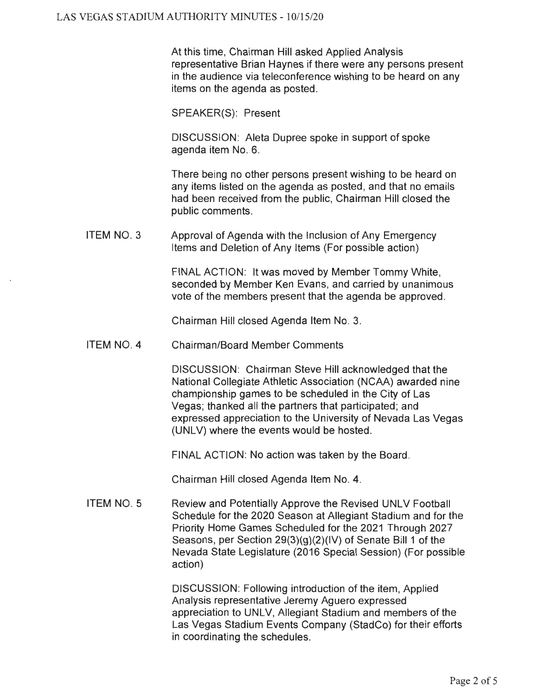At this time, Chairman Hill asked Applied Analysis representative Brian Haynes if there were any persons present in the audience via teleconference wishing to be heard on any items on the agenda as posted.

SPEAKER(S): Present

DISCUSSION: Aleta Dupree spoke in support of spoke agenda item No. 6.

There being no other persons present wishing to be heard on any items listed on the agenda as posted, and that no emails had been received from the public, Chairman Hill closed the public comments.

ITEM NO. 3 Approval of Agenda with the Inclusion of Any Emergency Items and Deletion of Any Items (For possible action)

> FINAL ACTION: It was moved by Member Tommy White, seconded by Member Ken Evans, and carried by unanimous vote of the members present that the agenda be approved.

Chairman Hill closed Agenda Item No. 3.

ITEM NO. 4 Chairman/Board Member Comments

> DISCUSSION: Chairman Steve Hill acknowledged that the National Collegiate Athletic Association (NCAA) awarded nine championship games to be scheduled in the City of Las Vegas; thanked all the partners that participated; and expressed appreciation to the University of Nevada Las Vegas (UNLV) where the events would be hosted.

FINAL ACTION: No action was taken by the Board.

Chairman Hill closed Agenda Item No. 4.

ITEM NO. 5 Review and Potentially Approve the Revised UNLV Football Schedule for the 2020 Season at Allegiant Stadium and for the Priority Home Games Scheduled for the 2021 Through 2027 Seasons, per Section 29(3)(g)(2)(IV) of Senate Bill 1 of the Nevada State Legislature (2016 Special Session) (For possible action)

> DISCUSSION: Following introduction of the item, Applied Analysis representative Jeremy Aguero expressed appreciation to UNLV, Allegiant Stadium and members of the Las Vegas Stadium Events Company (StadCo) for their efforts in coordinating the schedules.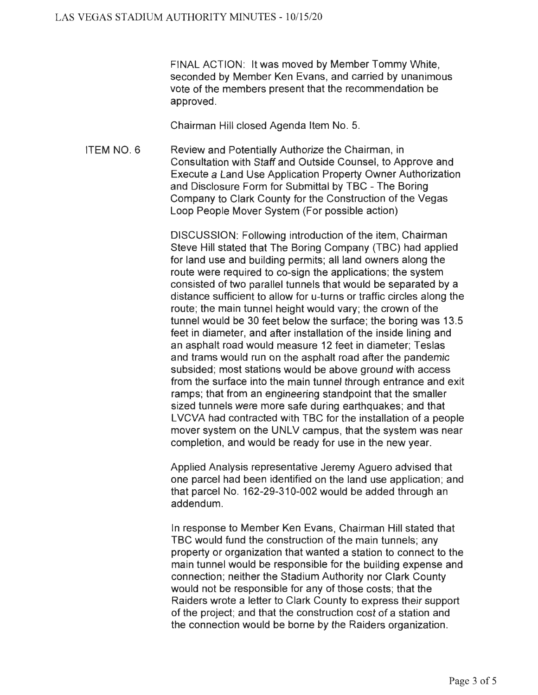FINAL ACTION: It was moved by Member Tommy White, seconded by Member Ken Evans, and carried by unanimous vote of the members present that the recommendation be approved.

Chairman Hill closed Agenda Item No. 5.

ITEM NO. 6 Review and Potentially Authorize the Chairman, in Consultation with Staff and Outside Counsel, to Approve and Execute a Land Use Application Property Owner Authorization and Disclosure Form for Submittal by TBC - The Boring Company to Clark County for the Construction of the Vegas Loop People Mover System (For possible action)

> DISCUSSION: Following introduction of the item, Chairman Steve Hill stated that The Boring Company (TBC) had applied for land use and building permits; all land owners along the route were required to co-sign the applications; the system consisted of two parallel tunnels that would be separated by a distance sufficient to allow for u-turns or traffic circles along the route; the main tunnel height would vary; the crown of the tunnel would be 30 feet below the surface; the boring was 13.5 feet in diameter, and after installation of the inside lining and an asphalt road would measure 12 feet in diameter; Teslas and trams would run on the asphalt road after the pandemic subsided; most stations would be above ground with access from the surface into the main tunnel through entrance and exit ramps; that from an engineering standpoint that the smaller sized tunnels were more safe during earthquakes; and that L VCVA had contracted with TBC for the installation of a people mover system on the UNLV campus, that the system was near completion, and would be ready for use in the new year.

> Applied Analysis representative Jeremy Aguero advised that one parcel had been identified on the land use application; and that parcel No. 162-29-310-002 would be added through an addendum.

> In response to Member Ken Evans, Chairman Hill stated that TBC would fund the construction of the main tunnels; any property or organization that wanted a station to connect to the main tunnel would be responsible for the building expense and connection; neither the Stadium Authority nor Clark County would not be responsible for any of those costs; that the Raiders wrote a letter to Clark County to express their support of the project; and that the construction cost of a station and the connection would be borne by the Raiders organization.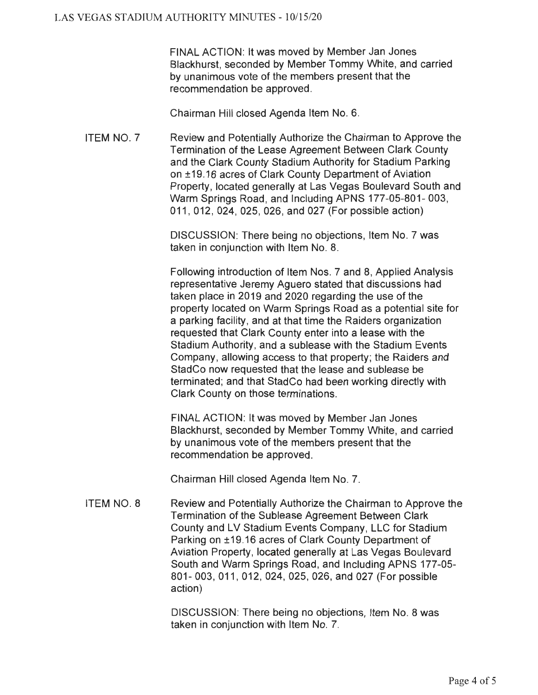FINAL ACTION: It was moved by Member Jan Jones Blackhurst, seconded by Member Tommy White, and carried by unanimous vote of the members present that the recommendation be approved.

Chairman Hill closed Agenda Item No. 6.

ITEM NO. 7 Review and Potentially Authorize the Chairman to Approve the Termination of the Lease Agreement Between Clark County and the Clark County Stadium Authority for Stadium Parking on ±19.16 acres of Clark County Department of Aviation Property, located generally at Las Vegas Boulevard South and Warm Springs Road, and Including APNS 177-05-801-003, 011 , 012, 024, 025, 026, and 027 (For possible action)

> DISCUSSION: There being no objections, Item No. 7 was taken in conjunction with Item No. 8.

Following introduction of Item Nos. 7 and 8, Applied Analysis representative Jeremy Aguero stated that discussions had taken place in 2019 and 2020 regarding the use of the property located on Warm Springs Road as a potential site for a parking facility , and at that time the Raiders organization requested that Clark County enter into a lease with the Stadium Authority, and a sublease with the Stadium Events Company, allowing access to that property; the Raiders and StadCo now requested that the lease and sublease be terminated; and that StadCo had been working directly with Clark County on those terminations.

FINAL ACTION: It was moved by Member Jan Jones Blackhurst, seconded by Member Tommy White, and carried by unanimous vote of the members present that the recommendation be approved.

Chairman Hill closed Agenda Item No. 7.

ITEM NO. 8 Review and Potentially Authorize the Chairman to Approve the Termination of the Sublease Agreement Between Clark County and LV Stadium Events Company, LLC for Stadium Parking on ±19.16 acres of Clark County Department of Aviation Property, located generally at Las Vegas Boulevard South and Warm Springs Road, and Including APNS 177-05-801- 003, 011 , 012, 024, 025, 026, and 027 (For possible action)

> DISCUSSION: There being no objections, Item No. 8 was taken in conjunction with Item No. 7.